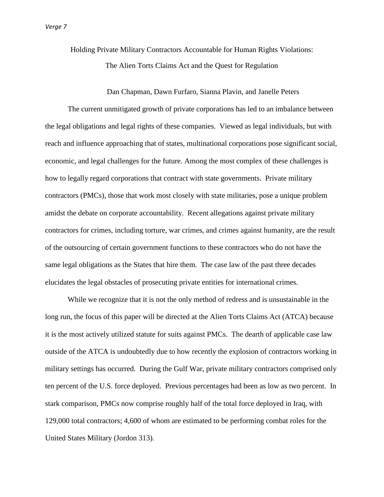Holding Private Military Contractors Accountable for Human Rights Violations: The Alien Torts Claims Act and the Quest for Regulation

Dan Chapman, Dawn Furfaro, Sianna Plavin, and Janelle Peters

The current unmitigated growth of private corporations has led to an imbalance between the legal obligations and legal rights of these companies. Viewed as legal individuals, but with reach and influence approaching that of states, multinational corporations pose significant social, economic, and legal challenges for the future. Among the most complex of these challenges is how to legally regard corporations that contract with state governments. Private military contractors (PMCs), those that work most closely with state militaries, pose a unique problem amidst the debate on corporate accountability. Recent allegations against private military contractors for crimes, including torture, war crimes, and crimes against humanity, are the result of the outsourcing of certain government functions to these contractors who do not have the same legal obligations as the States that hire them. The case law of the past three decades elucidates the legal obstacles of prosecuting private entities for international crimes.

While we recognize that it is not the only method of redress and is unsustainable in the long run, the focus of this paper will be directed at the Alien Torts Claims Act (ATCA) because it is the most actively utilized statute for suits against PMCs. The dearth of applicable case law outside of the ATCA is undoubtedly due to how recently the explosion of contractors working in military settings has occurred. During the Gulf War, private military contractors comprised only ten percent of the U.S. force deployed. Previous percentages had been as low as two percent. In stark comparison, PMCs now comprise roughly half of the total force deployed in Iraq, with 129,000 total contractors; 4,600 of whom are estimated to be performing combat roles for the United States Military (Jordon 313).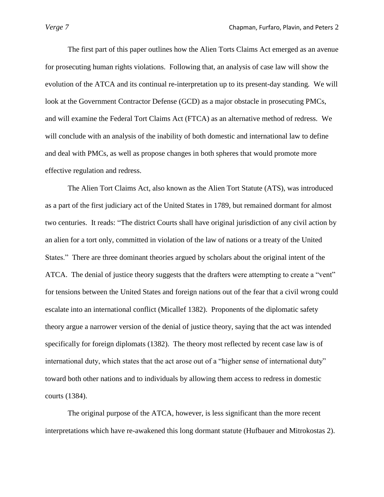The first part of this paper outlines how the Alien Torts Claims Act emerged as an avenue for prosecuting human rights violations. Following that, an analysis of case law will show the evolution of the ATCA and its continual re-interpretation up to its present-day standing*.* We will look at the Government Contractor Defense (GCD) as a major obstacle in prosecuting PMCs, and will examine the Federal Tort Claims Act (FTCA) as an alternative method of redress. We will conclude with an analysis of the inability of both domestic and international law to define and deal with PMCs, as well as propose changes in both spheres that would promote more effective regulation and redress.

The Alien Tort Claims Act, also known as the Alien Tort Statute (ATS), was introduced as a part of the first judiciary act of the United States in 1789, but remained dormant for almost two centuries. It reads: "The district Courts shall have original jurisdiction of any civil action by an alien for a tort only, committed in violation of the law of nations or a treaty of the United States."There are three dominant theories argued by scholars about the original intent of the ATCA. The denial of justice theory suggests that the drafters were attempting to create a "vent" for tensions between the United States and foreign nations out of the fear that a civil wrong could escalate into an international conflict (Micallef 1382). Proponents of the diplomatic safety theory argue a narrower version of the denial of justice theory, saying that the act was intended specifically for foreign diplomats (1382). The theory most reflected by recent case law is of international duty, which states that the act arose out of a "higher sense of international duty" toward both other nations and to individuals by allowing them access to redress in domestic courts (1384).

The original purpose of the ATCA, however, is less significant than the more recent interpretations which have re-awakened this long dormant statute (Hufbauer and Mitrokostas 2).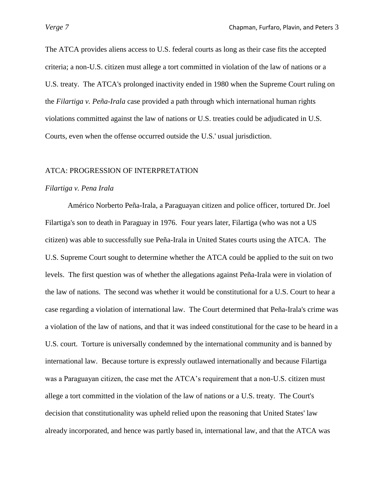The ATCA provides aliens access to U.S. federal courts as long as their case fits the accepted criteria; a non-U.S. citizen must allege a tort committed in violation of the law of nations or a U.S. treaty. The ATCA's prolonged inactivity ended in 1980 when the Supreme Court ruling on the *Filartiga v. Peña-Irala* case provided a path through which international human rights violations committed against the law of nations or U.S. treaties could be adjudicated in U.S. Courts, even when the offense occurred outside the U.S.' usual jurisdiction.

## ATCA: PROGRESSION OF INTERPRETATION

## *Filartiga v. Pena Irala*

Américo Norberto Peña-Irala, a Paraguayan citizen and police officer, tortured Dr. Joel Filartiga's son to death in Paraguay in 1976. Four years later, Filartiga (who was not a US citizen) was able to successfully sue Peña-Irala in United States courts using the ATCA. The U.S. Supreme Court sought to determine whether the ATCA could be applied to the suit on two levels. The first question was of whether the allegations against Peña-Irala were in violation of the law of nations. The second was whether it would be constitutional for a U.S. Court to hear a case regarding a violation of international law. The Court determined that Peña-Irala's crime was a violation of the law of nations, and that it was indeed constitutional for the case to be heard in a U.S. court. Torture is universally condemned by the international community and is banned by international law. Because torture is expressly outlawed internationally and because Filartiga was a Paraguayan citizen, the case met the ATCA"s requirement that a non-U.S. citizen must allege a tort committed in the violation of the law of nations or a U.S. treaty. The Court's decision that constitutionality was upheld relied upon the reasoning that United States' law already incorporated, and hence was partly based in, international law, and that the ATCA was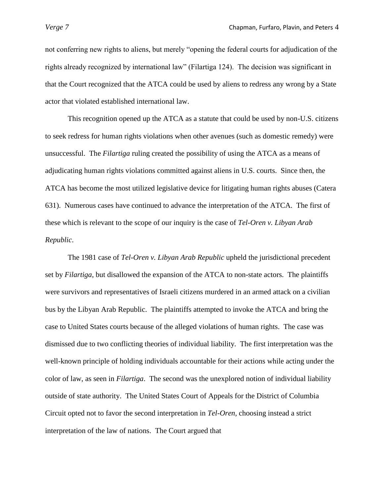not conferring new rights to aliens, but merely "opening the federal courts for adjudication of the rights already recognized by international law" (Filartiga 124). The decision was significant in that the Court recognized that the ATCA could be used by aliens to redress any wrong by a State actor that violated established international law.

This recognition opened up the ATCA as a statute that could be used by non-U.S. citizens to seek redress for human rights violations when other avenues (such as domestic remedy) were unsuccessful. The *Filartiga* ruling created the possibility of using the ATCA as a means of adjudicating human rights violations committed against aliens in U.S. courts. Since then, the ATCA has become the most utilized legislative device for litigating human rights abuses (Catera 631).Numerous cases have continued to advance the interpretation of the ATCA. The first of these which is relevant to the scope of our inquiry is the case of *Tel-Oren v. Libyan Arab Republic*.

The 1981 case of *Tel-Oren v. Libyan Arab Republic* upheld the jurisdictional precedent set by *Filartiga*, but disallowed the expansion of the ATCA to non-state actors. The plaintiffs were survivors and representatives of Israeli citizens murdered in an armed attack on a civilian bus by the Libyan Arab Republic. The plaintiffs attempted to invoke the ATCA and bring the case to United States courts because of the alleged violations of human rights. The case was dismissed due to two conflicting theories of individual liability. The first interpretation was the well-known principle of holding individuals accountable for their actions while acting under the color of law, as seen in *Filartiga*. The second was the unexplored notion of individual liability outside of state authority. The United States Court of Appeals for the District of Columbia Circuit opted not to favor the second interpretation in *Tel-Oren*, choosing instead a strict interpretation of the law of nations. The Court argued that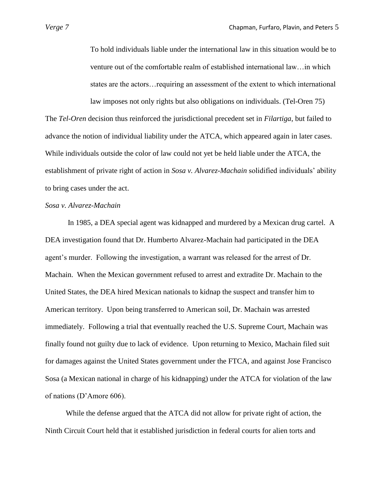To hold individuals liable under the international law in this situation would be to venture out of the comfortable realm of established international law…in which states are the actors…requiring an assessment of the extent to which international law imposes not only rights but also obligations on individuals. (Tel-Oren 75)

The *Tel-Oren* decision thus reinforced the jurisdictional precedent set in *Filartiga*, but failed to advance the notion of individual liability under the ATCA, which appeared again in later cases. While individuals outside the color of law could not yet be held liable under the ATCA, the establishment of private right of action in *Sosa v. Alvarez-Machain* solidified individuals" ability to bring cases under the act.

# *Sosa v. Alvarez-Machain*

 In 1985, a DEA special agent was kidnapped and murdered by a Mexican drug cartel. A DEA investigation found that Dr. Humberto Alvarez-Machain had participated in the DEA agent"s murder. Following the investigation, a warrant was released for the arrest of Dr. Machain. When the Mexican government refused to arrest and extradite Dr. Machain to the United States, the DEA hired Mexican nationals to kidnap the suspect and transfer him to American territory. Upon being transferred to American soil, Dr. Machain was arrested immediately. Following a trial that eventually reached the U.S. Supreme Court, Machain was finally found not guilty due to lack of evidence. Upon returning to Mexico, Machain filed suit for damages against the United States government under the FTCA, and against Jose Francisco Sosa (a Mexican national in charge of his kidnapping) under the ATCA for violation of the law of nations (D"Amore 606).

 While the defense argued that the ATCA did not allow for private right of action, the Ninth Circuit Court held that it established jurisdiction in federal courts for alien torts and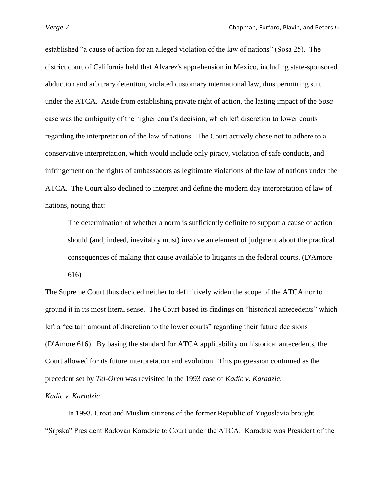established "a cause of action for an alleged violation of the law of nations" (Sosa 25). The district court of California held that Alvarez's apprehension in Mexico, including state-sponsored abduction and arbitrary detention, violated customary international law, thus permitting suit under the ATCA. Aside from establishing private right of action, the lasting impact of the *Sosa* case was the ambiguity of the higher court's decision, which left discretion to lower courts regarding the interpretation of the law of nations. The Court actively chose not to adhere to a conservative interpretation, which would include only piracy, violation of safe conducts, and infringement on the rights of ambassadors as legitimate violations of the law of nations under the ATCA. The Court also declined to interpret and define the modern day interpretation of law of nations, noting that:

The determination of whether a norm is sufficiently definite to support a cause of action should (and, indeed, inevitably must) involve an element of judgment about the practical consequences of making that cause available to litigants in the federal courts. (D'Amore 616)

The Supreme Court thus decided neither to definitively widen the scope of the ATCA nor to ground it in its most literal sense. The Court based its findings on "historical antecedents" which left a "certain amount of discretion to the lower courts" regarding their future decisions (D'Amore 616). By basing the standard for ATCA applicability on historical antecedents, the Court allowed for its future interpretation and evolution. This progression continued as the precedent set by *Tel-Oren* was revisited in the 1993 case of *Kadic v. Karadzic*.

*Kadic v. Karadzic* 

In 1993, Croat and Muslim citizens of the former Republic of Yugoslavia brought "Srpska" President Radovan Karadzic to Court under the ATCA. Karadzic was President of the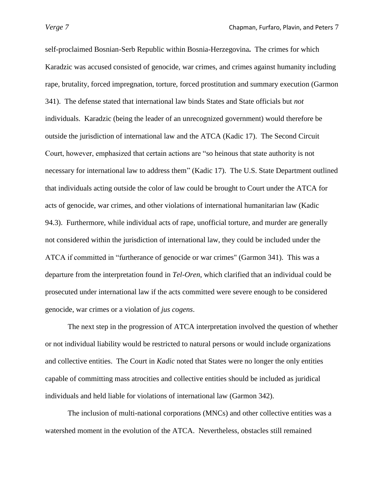self-proclaimed Bosnian-Serb Republic within Bosnia-Herzegovina**.** The crimes for which Karadzic was accused consisted of genocide, war crimes, and crimes against humanity including rape, brutality, forced impregnation, torture, forced prostitution and summary execution (Garmon 341). The defense stated that international law binds States and State officials but *not* individuals. Karadzic (being the leader of an unrecognized government) would therefore be outside the jurisdiction of international law and the ATCA (Kadic 17). The Second Circuit Court, however, emphasized that certain actions are "so heinous that state authority is not necessary for international law to address them" (Kadic 17). The U.S. State Department outlined that individuals acting outside the color of law could be brought to Court under the ATCA for acts of genocide, war crimes, and other violations of international humanitarian law (Kadic 94.3). Furthermore, while individual acts of rape, unofficial torture, and murder are generally not considered within the jurisdiction of international law, they could be included under the ATCA if committed in "furtherance of genocide or war crimes" (Garmon 341). This was a departure from the interpretation found in *Tel-Oren*, which clarified that an individual could be prosecuted under international law if the acts committed were severe enough to be considered genocide, war crimes or a violation of *jus cogens*.

The next step in the progression of ATCA interpretation involved the question of whether or not individual liability would be restricted to natural persons or would include organizations and collective entities. The Court in *Kadic* noted that States were no longer the only entities capable of committing mass atrocities and collective entities should be included as juridical individuals and held liable for violations of international law (Garmon 342).

The inclusion of multi-national corporations (MNCs) and other collective entities was a watershed moment in the evolution of the ATCA. Nevertheless, obstacles still remained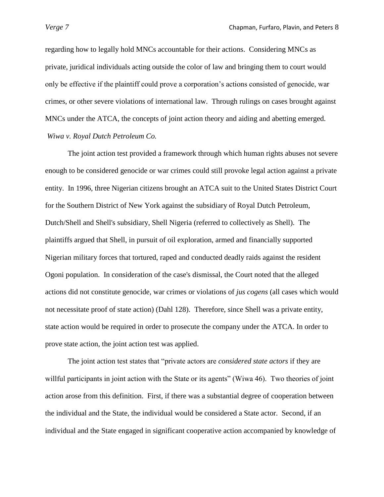regarding how to legally hold MNCs accountable for their actions. Considering MNCs as private, juridical individuals acting outside the color of law and bringing them to court would only be effective if the plaintiff could prove a corporation"s actions consisted of genocide, war crimes, or other severe violations of international law. Through rulings on cases brought against MNCs under the ATCA, the concepts of joint action theory and aiding and abetting emerged. *Wiwa v. Royal Dutch Petroleum Co.* 

The joint action test provided a framework through which human rights abuses not severe enough to be considered genocide or war crimes could still provoke legal action against a private entity. In 1996, three Nigerian citizens brought an ATCA suit to the United States District Court for the Southern District of New York against the subsidiary of Royal Dutch Petroleum, Dutch/Shell and Shell's subsidiary, Shell Nigeria (referred to collectively as Shell). The plaintiffs argued that Shell, in pursuit of oil exploration, armed and financially supported Nigerian military forces that tortured, raped and conducted deadly raids against the resident Ogoni population. In consideration of the case's dismissal, the Court noted that the alleged actions did not constitute genocide, war crimes or violations of *jus cogens* (all cases which would not necessitate proof of state action) (Dahl 128). Therefore, since Shell was a private entity, state action would be required in order to prosecute the company under the ATCA. In order to prove state action, the joint action test was applied.

The joint action test states that "private actors are *considered state actors* if they are will full participants in joint action with the State or its agents" (Wiwa 46). Two theories of joint action arose from this definition. First, if there was a substantial degree of cooperation between the individual and the State, the individual would be considered a State actor. Second, if an individual and the State engaged in significant cooperative action accompanied by knowledge of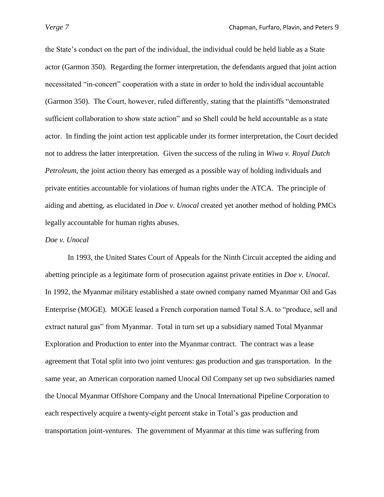the State"s conduct on the part of the individual, the individual could be held liable as a State actor (Garmon 350). Regarding the former interpretation, the defendants argued that joint action necessitated "in-concert" cooperation with a state in order to hold the individual accountable (Garmon 350). The Court, however, ruled differently, stating that the plaintiffs "demonstrated sufficient collaboration to show state action" and so Shell could be held accountable as a state actor. In finding the joint action test applicable under its former interpretation, the Court decided not to address the latter interpretation. Given the success of the ruling in *Wiwa v. Royal Dutch Petroleum*, the joint action theory has emerged as a possible way of holding individuals and private entities accountable for violations of human rights under the ATCA. The principle of aiding and abetting, as elucidated in *Doe v. Unocal* created yet another method of holding PMCs legally accountable for human rights abuses.

# *Doe v. Unocal*

In 1993, the United States Court of Appeals for the Ninth Circuit accepted the aiding and abetting principle as a legitimate form of prosecution against private entities in *Doe v. Unocal*. In 1992, the Myanmar military established a state owned company named Myanmar Oil and Gas Enterprise (MOGE). MOGE leased a French corporation named Total S.A. to "produce, sell and extract natural gas" from Myanmar. Total in turn set up a subsidiary named Total Myanmar Exploration and Production to enter into the Myanmar contract. The contract was a lease agreement that Total split into two joint ventures: gas production and gas transportation. In the same year, an American corporation named Unocal Oil Company set up two subsidiaries named the Unocal Myanmar Offshore Company and the Unocal International Pipeline Corporation to each respectively acquire a twenty-eight percent stake in Total"s gas production and transportation joint-ventures. The government of Myanmar at this time was suffering from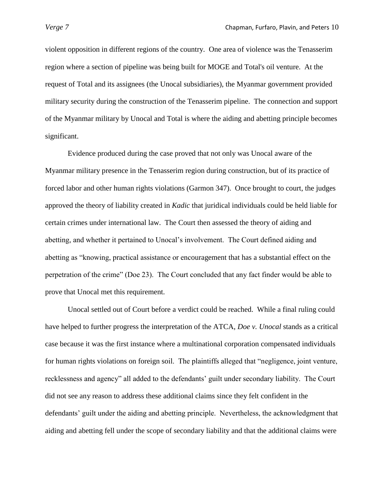violent opposition in different regions of the country. One area of violence was the Tenasserim region where a section of pipeline was being built for MOGE and Total's oil venture. At the request of Total and its assignees (the Unocal subsidiaries), the Myanmar government provided military security during the construction of the Tenasserim pipeline. The connection and support of the Myanmar military by Unocal and Total is where the aiding and abetting principle becomes significant.

Evidence produced during the case proved that not only was Unocal aware of the Myanmar military presence in the Tenasserim region during construction, but of its practice of forced labor and other human rights violations (Garmon 347). Once brought to court, the judges approved the theory of liability created in *Kadic* that juridical individuals could be held liable for certain crimes under international law. The Court then assessed the theory of aiding and abetting, and whether it pertained to Unocal"s involvement. The Court defined aiding and abetting as "knowing, practical assistance or encouragement that has a substantial effect on the perpetration of the crime" (Doe 23). The Court concluded that any fact finder would be able to prove that Unocal met this requirement.

Unocal settled out of Court before a verdict could be reached. While a final ruling could have helped to further progress the interpretation of the ATCA, *Doe v. Unocal* stands as a critical case because it was the first instance where a multinational corporation compensated individuals for human rights violations on foreign soil. The plaintiffs alleged that "negligence, joint venture, recklessness and agency" all added to the defendants" guilt under secondary liability. The Court did not see any reason to address these additional claims since they felt confident in the defendants' guilt under the aiding and abetting principle. Nevertheless, the acknowledgment that aiding and abetting fell under the scope of secondary liability and that the additional claims were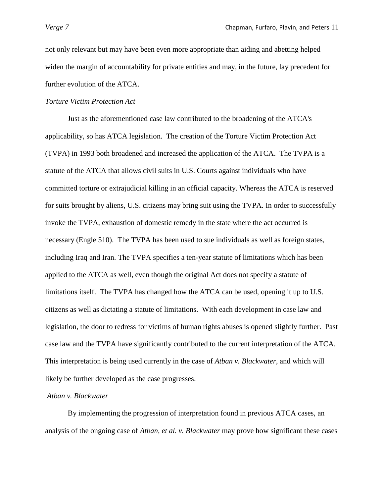not only relevant but may have been even more appropriate than aiding and abetting helped widen the margin of accountability for private entities and may, in the future, lay precedent for further evolution of the ATCA.

# *Torture Victim Protection Act*

Just as the aforementioned case law contributed to the broadening of the ATCA's applicability, so has ATCA legislation. The creation of the Torture Victim Protection Act (TVPA) in 1993 both broadened and increased the application of the ATCA. The TVPA is a statute of the ATCA that allows civil suits in U.S. Courts against individuals who have committed torture or extrajudicial killing in an official capacity. Whereas the ATCA is reserved for suits brought by aliens, U.S. citizens may bring suit using the TVPA. In order to successfully invoke the TVPA, exhaustion of domestic remedy in the state where the act occurred is necessary (Engle 510). The TVPA has been used to sue individuals as well as foreign states, including Iraq and Iran. The TVPA specifies a ten-year statute of limitations which has been applied to the ATCA as well, even though the original Act does not specify a statute of limitations itself. The TVPA has changed how the ATCA can be used, opening it up to U.S. citizens as well as dictating a statute of limitations. With each development in case law and legislation, the door to redress for victims of human rights abuses is opened slightly further. Past case law and the TVPA have significantly contributed to the current interpretation of the ATCA. This interpretation is being used currently in the case of *Atban v. Blackwater*, and which will likely be further developed as the case progresses.

# *Atban v. Blackwater*

By implementing the progression of interpretation found in previous ATCA cases, an analysis of the ongoing case of *Atban, et al. v. Blackwater* may prove how significant these cases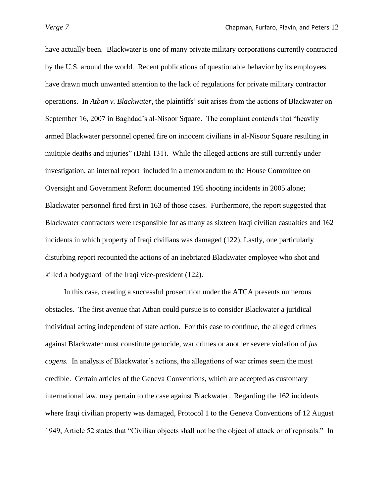have actually been. Blackwater is one of many private military corporations currently contracted by the U.S. around the world. Recent publications of questionable behavior by its employees have drawn much unwanted attention to the lack of regulations for private military contractor operations. In *Atban v. Blackwater*, the plaintiffs" suit arises from the actions of Blackwater on September 16, 2007 in Baghdad's al-Nisoor Square. The complaint contends that "heavily armed Blackwater personnel opened fire on innocent civilians in al-Nisoor Square resulting in multiple deaths and injuries" (Dahl 131). While the alleged actions are still currently under investigation, an internal report included in a memorandum to the House Committee on Oversight and Government Reform documented 195 shooting incidents in 2005 alone; Blackwater personnel fired first in 163 of those cases. Furthermore, the report suggested that Blackwater contractors were responsible for as many as sixteen Iraqi civilian casualties and 162 incidents in which property of Iraqi civilians was damaged (122). Lastly, one particularly disturbing report recounted the actions of an inebriated Blackwater employee who shot and killed a bodyguard of the Iraqi vice-president (122).

 In this case, creating a successful prosecution under the ATCA presents numerous obstacles. The first avenue that Atban could pursue is to consider Blackwater a juridical individual acting independent of state action. For this case to continue, the alleged crimes against Blackwater must constitute genocide, war crimes or another severe violation of *jus cogens.* In analysis of Blackwater"s actions, the allegations of war crimes seem the most credible. Certain articles of the Geneva Conventions, which are accepted as customary international law, may pertain to the case against Blackwater. Regarding the 162 incidents where Iraqi civilian property was damaged, Protocol 1 to the Geneva Conventions of 12 August 1949, Article 52 states that "Civilian objects shall not be the object of attack or of reprisals." In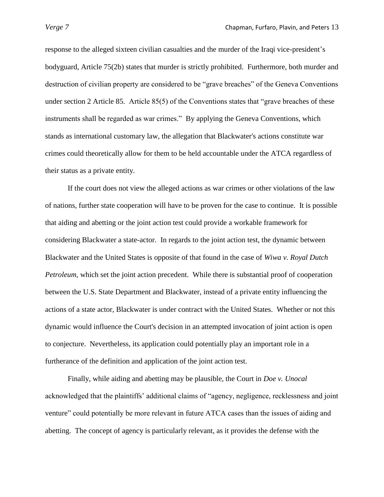response to the alleged sixteen civilian casualties and the murder of the Iraqi vice-president"s bodyguard, Article 75(2b) states that murder is strictly prohibited. Furthermore, both murder and destruction of civilian property are considered to be "grave breaches" of the Geneva Conventions under section 2 Article 85. Article 85(5) of the Conventions states that "grave breaches of these instruments shall be regarded as war crimes." By applying the Geneva Conventions, which stands as international customary law, the allegation that Blackwater's actions constitute war crimes could theoretically allow for them to be held accountable under the ATCA regardless of their status as a private entity.

If the court does not view the alleged actions as war crimes or other violations of the law of nations, further state cooperation will have to be proven for the case to continue. It is possible that aiding and abetting or the joint action test could provide a workable framework for considering Blackwater a state-actor. In regards to the joint action test, the dynamic between Blackwater and the United States is opposite of that found in the case of *Wiwa v. Royal Dutch Petroleum*, which set the joint action precedent. While there is substantial proof of cooperation between the U.S. State Department and Blackwater, instead of a private entity influencing the actions of a state actor, Blackwater is under contract with the United States. Whether or not this dynamic would influence the Court's decision in an attempted invocation of joint action is open to conjecture. Nevertheless, its application could potentially play an important role in a furtherance of the definition and application of the joint action test.

Finally, while aiding and abetting may be plausible, the Court in *Doe v. Unocal* acknowledged that the plaintiffs" additional claims of "agency, negligence, recklessness and joint venture" could potentially be more relevant in future ATCA cases than the issues of aiding and abetting. The concept of agency is particularly relevant, as it provides the defense with the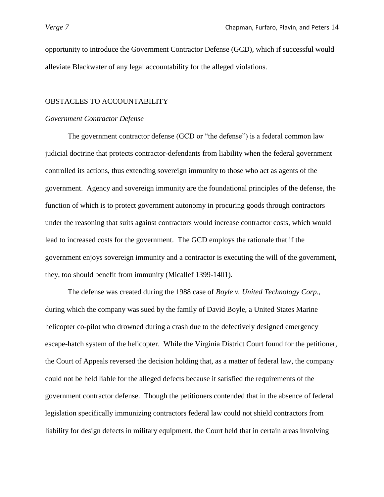opportunity to introduce the Government Contractor Defense (GCD), which if successful would alleviate Blackwater of any legal accountability for the alleged violations.

## OBSTACLES TO ACCOUNTABILITY

## *Government Contractor Defense*

The government contractor defense (GCD or "the defense") is a federal common law judicial doctrine that protects contractor-defendants from liability when the federal government controlled its actions, thus extending sovereign immunity to those who act as agents of the government. Agency and sovereign immunity are the foundational principles of the defense, the function of which is to protect government autonomy in procuring goods through contractors under the reasoning that suits against contractors would increase contractor costs, which would lead to increased costs for the government. The GCD employs the rationale that if the government enjoys sovereign immunity and a contractor is executing the will of the government, they, too should benefit from immunity (Micallef 1399-1401).

The defense was created during the 1988 case of *Boyle v. United Technology Corp*., during which the company was sued by the family of David Boyle, a United States Marine helicopter co-pilot who drowned during a crash due to the defectively designed emergency escape-hatch system of the helicopter. While the Virginia District Court found for the petitioner, the Court of Appeals reversed the decision holding that, as a matter of federal law, the company could not be held liable for the alleged defects because it satisfied the requirements of the government contractor defense. Though the petitioners contended that in the absence of federal legislation specifically immunizing contractors federal law could not shield contractors from liability for design defects in military equipment, the Court held that in certain areas involving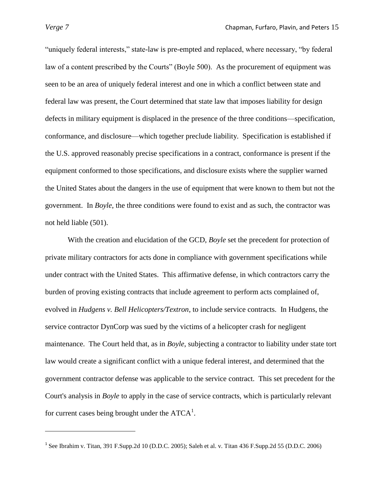$\overline{\phantom{a}}$ 

"uniquely federal interests," state-law is pre-empted and replaced, where necessary, "by federal law of a content prescribed by the Courts" (Boyle 500). As the procurement of equipment was seen to be an area of uniquely federal interest and one in which a conflict between state and federal law was present, the Court determined that state law that imposes liability for design defects in military equipment is displaced in the presence of the three conditions—specification, conformance, and disclosure—which together preclude liability. Specification is established if the U.S. approved reasonably precise specifications in a contract, conformance is present if the equipment conformed to those specifications, and disclosure exists where the supplier warned the United States about the dangers in the use of equipment that were known to them but not the government. In *Boyle*, the three conditions were found to exist and as such, the contractor was not held liable (501).

With the creation and elucidation of the GCD, *Boyle* set the precedent for protection of private military contractors for acts done in compliance with government specifications while under contract with the United States. This affirmative defense, in which contractors carry the burden of proving existing contracts that include agreement to perform acts complained of, evolved in *Hudgens v. Bell Helicopters/Textron*, to include service contracts. In Hudgens, the service contractor DynCorp was sued by the victims of a helicopter crash for negligent maintenance. The Court held that, as in *Boyle*, subjecting a contractor to liability under state tort law would create a significant conflict with a unique federal interest, and determined that the government contractor defense was applicable to the service contract. This set precedent for the Court's analysis in *Boyle* to apply in the case of service contracts, which is particularly relevant for current cases being brought under the  $ATCA<sup>1</sup>$ .

<sup>&</sup>lt;sup>1</sup> See Ibrahim v. Titan, 391 F.Supp.2d 10 (D.D.C. 2005); Saleh et al. v. Titan 436 F.Supp.2d 55 (D.D.C. 2006)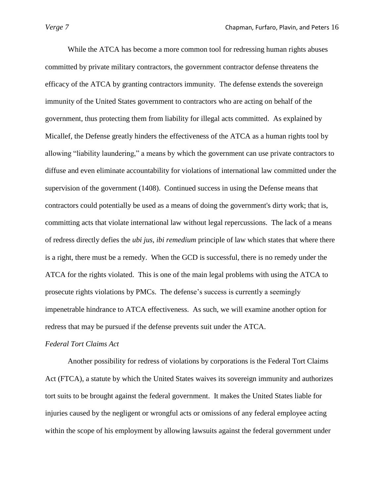While the ATCA has become a more common tool for redressing human rights abuses committed by private military contractors, the government contractor defense threatens the efficacy of the ATCA by granting contractors immunity. The defense extends the sovereign immunity of the United States government to contractors who are acting on behalf of the government, thus protecting them from liability for illegal acts committed. As explained by Micallef, the Defense greatly hinders the effectiveness of the ATCA as a human rights tool by allowing "liability laundering," a means by which the government can use private contractors to diffuse and even eliminate accountability for violations of international law committed under the supervision of the government (1408). Continued success in using the Defense means that contractors could potentially be used as a means of doing the government's dirty work; that is, committing acts that violate international law without legal repercussions. The lack of a means of redress directly defies the *ubi jus, ibi remedium* principle of law which states that where there is a right, there must be a remedy. When the GCD is successful, there is no remedy under the ATCA for the rights violated. This is one of the main legal problems with using the ATCA to prosecute rights violations by PMCs. The defense"s success is currently a seemingly impenetrable hindrance to ATCA effectiveness. As such, we will examine another option for redress that may be pursued if the defense prevents suit under the ATCA.

## *Federal Tort Claims Act*

Another possibility for redress of violations by corporations is the Federal Tort Claims Act (FTCA), a statute by which the United States waives its sovereign immunity and authorizes tort suits to be brought against the federal government. It makes the United States liable for injuries caused by the negligent or wrongful acts or omissions of any federal employee acting within the scope of his employment by allowing lawsuits against the federal government under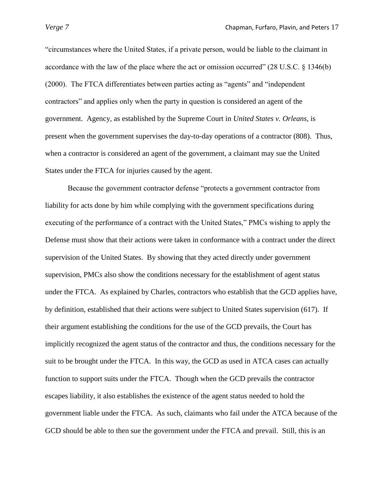"circumstances where the United States, if a private person, would be liable to the claimant in accordance with the law of the place where the act or omission occurred" (28 U.S.C. § 1346(b) (2000). The FTCA differentiates between parties acting as "agents" and "independent contractors" and applies only when the party in question is considered an agent of the government. Agency, as established by the Supreme Court in *United States v. Orleans*, is present when the government supervises the day-to-day operations of a contractor (808). Thus, when a contractor is considered an agent of the government, a claimant may sue the United States under the FTCA for injuries caused by the agent.

Because the government contractor defense "protects a government contractor from liability for acts done by him while complying with the government specifications during executing of the performance of a contract with the United States," PMCs wishing to apply the Defense must show that their actions were taken in conformance with a contract under the direct supervision of the United States. By showing that they acted directly under government supervision, PMCs also show the conditions necessary for the establishment of agent status under the FTCA. As explained by Charles, contractors who establish that the GCD applies have, by definition, established that their actions were subject to United States supervision (617). If their argument establishing the conditions for the use of the GCD prevails, the Court has implicitly recognized the agent status of the contractor and thus, the conditions necessary for the suit to be brought under the FTCA. In this way, the GCD as used in ATCA cases can actually function to support suits under the FTCA. Though when the GCD prevails the contractor escapes liability, it also establishes the existence of the agent status needed to hold the government liable under the FTCA. As such, claimants who fail under the ATCA because of the GCD should be able to then sue the government under the FTCA and prevail. Still, this is an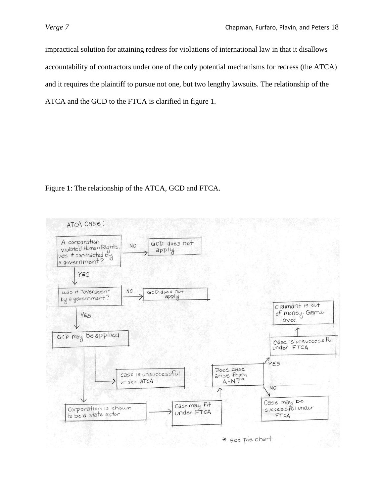impractical solution for attaining redress for violations of international law in that it disallows accountability of contractors under one of the only potential mechanisms for redress (the ATCA) and it requires the plaintiff to pursue not one, but two lengthy lawsuits. The relationship of the ATCA and the GCD to the FTCA is clarified in figure 1.

Figure 1: The relationship of the ATCA, GCD and FTCA.

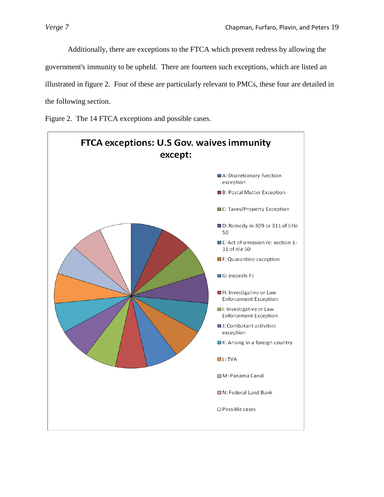Additionally, there are exceptions to the FTCA which prevent redress by allowing the government's immunity to be upheld. There are fourteen such exceptions, which are listed an illustrated in figure 2. Four of these are particularly relevant to PMCs, these four are detailed in the following section.

Figure 2. The 14 FTCA exceptions and possible cases.

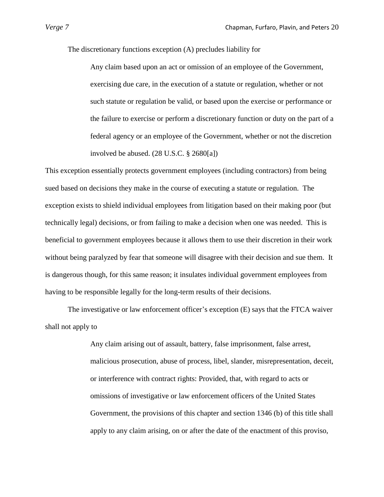The discretionary functions exception (A) precludes liability for

Any claim based upon an act or omission of an employee of the Government, exercising due care, in the execution of a statute or regulation, whether or not such statute or regulation be valid, or based upon the exercise or performance or the failure to exercise or perform a discretionary function or duty on the part of a federal agency or an employee of the Government, whether or not the discretion involved be abused. (28 U.S.C. § 2680[a])

This exception essentially protects government employees (including contractors) from being sued based on decisions they make in the course of executing a statute or regulation. The exception exists to shield individual employees from litigation based on their making poor (but technically legal) decisions, or from failing to make a decision when one was needed. This is beneficial to government employees because it allows them to use their discretion in their work without being paralyzed by fear that someone will disagree with their decision and sue them. It is dangerous though, for this same reason; it insulates individual government employees from having to be responsible legally for the long-term results of their decisions.

The investigative or law enforcement officer's exception (E) says that the FTCA waiver shall not apply to

> Any claim arising out of assault, battery, false imprisonment, false arrest, malicious prosecution, abuse of process, libel, slander, misrepresentation, deceit, or interference with contract rights: Provided, that, with regard to acts or omissions of investigative or law enforcement officers of the United States Government, the provisions of this chapter and section 1346 (b) of this title shall apply to any claim arising, on or after the date of the enactment of this proviso,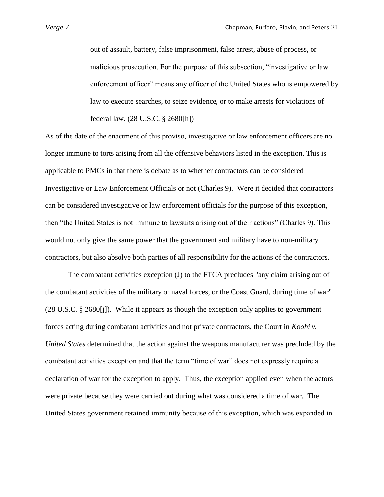out of assault, battery, false imprisonment, false arrest, abuse of process, or malicious prosecution. For the purpose of this subsection, "investigative or law enforcement officer" means any officer of the United States who is empowered by law to execute searches, to seize evidence, or to make arrests for violations of federal law. (28 U.S.C. § 2680[h])

As of the date of the enactment of this proviso, investigative or law enforcement officers are no longer immune to torts arising from all the offensive behaviors listed in the exception. This is applicable to PMCs in that there is debate as to whether contractors can be considered Investigative or Law Enforcement Officials or not (Charles 9). Were it decided that contractors can be considered investigative or law enforcement officials for the purpose of this exception, then "the United States is not immune to lawsuits arising out of their actions" (Charles 9). This would not only give the same power that the government and military have to non-military contractors, but also absolve both parties of all responsibility for the actions of the contractors.

The combatant activities exception (J) to the FTCA precludes "any claim arising out of the combatant activities of the military or naval forces, or the Coast Guard, during time of war" (28 U.S.C. § 2680[j]). While it appears as though the exception only applies to government forces acting during combatant activities and not private contractors, the Court in *Koohi v. United States* determined that the action against the weapons manufacturer was precluded by the combatant activities exception and that the term "time of war" does not expressly require a declaration of war for the exception to apply. Thus, the exception applied even when the actors were private because they were carried out during what was considered a time of war. The United States government retained immunity because of this exception, which was expanded in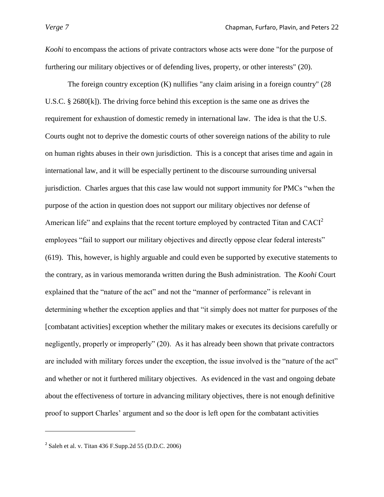*Koohi* to encompass the actions of private contractors whose acts were done "for the purpose of furthering our military objectives or of defending lives, property, or other interests" (20).

The foreign country exception (K) nullifies "any claim arising in a foreign country" (28 U.S.C. § 2680[k]). The driving force behind this exception is the same one as drives the requirement for exhaustion of domestic remedy in international law. The idea is that the U.S. Courts ought not to deprive the domestic courts of other sovereign nations of the ability to rule on human rights abuses in their own jurisdiction. This is a concept that arises time and again in international law, and it will be especially pertinent to the discourse surrounding universal jurisdiction. Charles argues that this case law would not support immunity for PMCs "when the purpose of the action in question does not support our military objectives nor defense of American life" and explains that the recent torture employed by contracted Titan and  $CACI<sup>2</sup>$ employees "fail to support our military objectives and directly oppose clear federal interests" (619). This, however, is highly arguable and could even be supported by executive statements to the contrary, as in various memoranda written during the Bush administration. The *Koohi* Court explained that the "nature of the act" and not the "manner of performance" is relevant in determining whether the exception applies and that "it simply does not matter for purposes of the [combatant activities] exception whether the military makes or executes its decisions carefully or negligently, properly or improperly" (20). As it has already been shown that private contractors are included with military forces under the exception, the issue involved is the "nature of the act" and whether or not it furthered military objectives. As evidenced in the vast and ongoing debate about the effectiveness of torture in advancing military objectives, there is not enough definitive proof to support Charles" argument and so the door is left open for the combatant activities

 $\overline{\phantom{a}}$ 

 $2^{2}$  Saleh et al. v. Titan 436 F.Supp.2d 55 (D.D.C. 2006)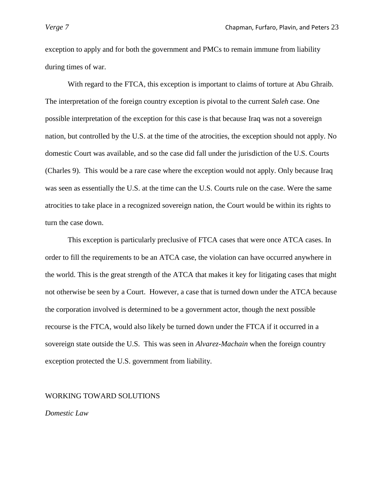exception to apply and for both the government and PMCs to remain immune from liability during times of war.

With regard to the FTCA, this exception is important to claims of torture at Abu Ghraib. The interpretation of the foreign country exception is pivotal to the current *Saleh* case. One possible interpretation of the exception for this case is that because Iraq was not a sovereign nation, but controlled by the U.S. at the time of the atrocities, the exception should not apply. No domestic Court was available, and so the case did fall under the jurisdiction of the U.S. Courts (Charles 9). This would be a rare case where the exception would not apply. Only because Iraq was seen as essentially the U.S. at the time can the U.S. Courts rule on the case. Were the same atrocities to take place in a recognized sovereign nation, the Court would be within its rights to turn the case down.

This exception is particularly preclusive of FTCA cases that were once ATCA cases. In order to fill the requirements to be an ATCA case, the violation can have occurred anywhere in the world. This is the great strength of the ATCA that makes it key for litigating cases that might not otherwise be seen by a Court. However, a case that is turned down under the ATCA because the corporation involved is determined to be a government actor, though the next possible recourse is the FTCA, would also likely be turned down under the FTCA if it occurred in a sovereign state outside the U.S. This was seen in *Alvarez-Machain* when the foreign country exception protected the U.S. government from liability.

#### WORKING TOWARD SOLUTIONS

*Domestic Law*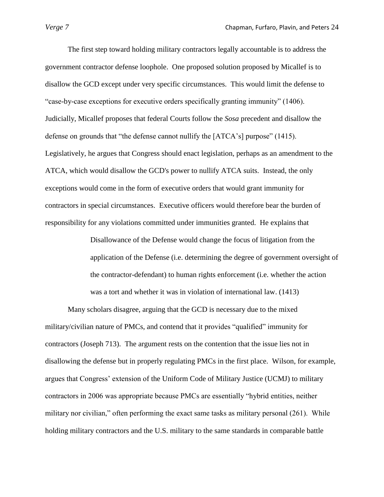The first step toward holding military contractors legally accountable is to address the government contractor defense loophole. One proposed solution proposed by Micallef is to disallow the GCD except under very specific circumstances. This would limit the defense to "case-by-case exceptions for executive orders specifically granting immunity" (1406). Judicially, Micallef proposes that federal Courts follow the *Sosa* precedent and disallow the defense on grounds that "the defense cannot nullify the [ATCA"s] purpose" (1415). Legislatively, he argues that Congress should enact legislation, perhaps as an amendment to the ATCA, which would disallow the GCD's power to nullify ATCA suits. Instead, the only exceptions would come in the form of executive orders that would grant immunity for contractors in special circumstances. Executive officers would therefore bear the burden of responsibility for any violations committed under immunities granted. He explains that

> Disallowance of the Defense would change the focus of litigation from the application of the Defense (i.e. determining the degree of government oversight of the contractor-defendant) to human rights enforcement (i.e. whether the action was a tort and whether it was in violation of international law. (1413)

Many scholars disagree, arguing that the GCD is necessary due to the mixed military/civilian nature of PMCs, and contend that it provides "qualified" immunity for contractors (Joseph 713). The argument rests on the contention that the issue lies not in disallowing the defense but in properly regulating PMCs in the first place. Wilson, for example, argues that Congress" extension of the Uniform Code of Military Justice (UCMJ) to military contractors in 2006 was appropriate because PMCs are essentially "hybrid entities, neither military nor civilian," often performing the exact same tasks as military personal (261). While holding military contractors and the U.S. military to the same standards in comparable battle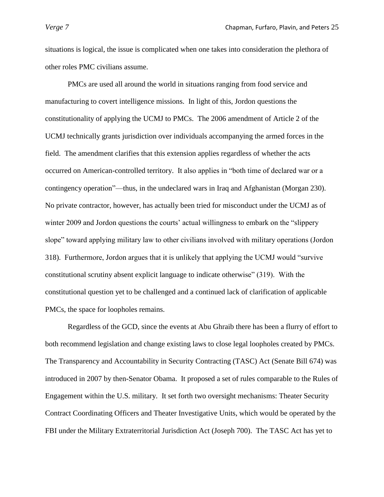situations is logical, the issue is complicated when one takes into consideration the plethora of other roles PMC civilians assume.

PMCs are used all around the world in situations ranging from food service and manufacturing to covert intelligence missions. In light of this, Jordon questions the constitutionality of applying the UCMJ to PMCs. The 2006 amendment of Article 2 of the UCMJ technically grants jurisdiction over individuals accompanying the armed forces in the field. The amendment clarifies that this extension applies regardless of whether the acts occurred on American-controlled territory. It also applies in "both time of declared war or a contingency operation"—thus, in the undeclared wars in Iraq and Afghanistan (Morgan 230). No private contractor, however, has actually been tried for misconduct under the UCMJ as of winter 2009 and Jordon questions the courts' actual willingness to embark on the "slippery" slope" toward applying military law to other civilians involved with military operations (Jordon 318). Furthermore, Jordon argues that it is unlikely that applying the UCMJ would "survive constitutional scrutiny absent explicit language to indicate otherwise" (319). With the constitutional question yet to be challenged and a continued lack of clarification of applicable PMCs, the space for loopholes remains.

Regardless of the GCD, since the events at Abu Ghraib there has been a flurry of effort to both recommend legislation and change existing laws to close legal loopholes created by PMCs. The Transparency and Accountability in Security Contracting (TASC) Act (Senate Bill 674) was introduced in 2007 by then-Senator Obama. It proposed a set of rules comparable to the Rules of Engagement within the U.S. military. It set forth two oversight mechanisms: Theater Security Contract Coordinating Officers and Theater Investigative Units, which would be operated by the FBI under the Military Extraterritorial Jurisdiction Act (Joseph 700). The TASC Act has yet to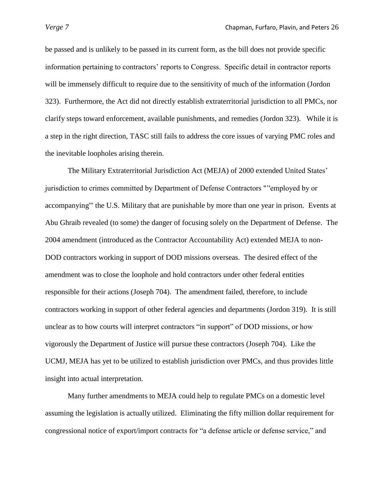be passed and is unlikely to be passed in its current form, as the bill does not provide specific information pertaining to contractors" reports to Congress. Specific detail in contractor reports will be immensely difficult to require due to the sensitivity of much of the information (Jordon 323). Furthermore, the Act did not directly establish extraterritorial jurisdiction to all PMCs, nor clarify steps toward enforcement, available punishments, and remedies (Jordon 323). While it is a step in the right direction, TASC still fails to address the core issues of varying PMC roles and the inevitable loopholes arising therein.

The Military Extraterritorial Jurisdiction Act (MEJA) of 2000 extended United States" jurisdiction to crimes committed by Department of Defense Contractors ""'employed by or accompanying'" the U.S. Military that are punishable by more than one year in prison. Events at Abu Ghraib revealed (to some) the danger of focusing solely on the Department of Defense. The 2004 amendment (introduced as the Contractor Accountability Act) extended MEJA to non-DOD contractors working in support of DOD missions overseas. The desired effect of the amendment was to close the loophole and hold contractors under other federal entities responsible for their actions (Joseph 704). The amendment failed, therefore, to include contractors working in support of other federal agencies and departments (Jordon 319). It is still unclear as to how courts will interpret contractors "in support" of DOD missions, or how vigorously the Department of Justice will pursue these contractors (Joseph 704). Like the UCMJ, MEJA has yet to be utilized to establish jurisdiction over PMCs, and thus provides little insight into actual interpretation.

Many further amendments to MEJA could help to regulate PMCs on a domestic level assuming the legislation is actually utilized. Eliminating the fifty million dollar requirement for congressional notice of export/import contracts for "a defense article or defense service," and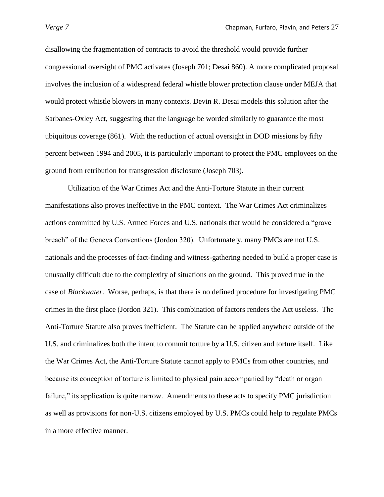disallowing the fragmentation of contracts to avoid the threshold would provide further congressional oversight of PMC activates (Joseph 701; Desai 860). A more complicated proposal involves the inclusion of a widespread federal whistle blower protection clause under MEJA that would protect whistle blowers in many contexts. Devin R. Desai models this solution after the Sarbanes-Oxley Act, suggesting that the language be worded similarly to guarantee the most ubiquitous coverage (861). With the reduction of actual oversight in DOD missions by fifty percent between 1994 and 2005, it is particularly important to protect the PMC employees on the ground from retribution for transgression disclosure (Joseph 703).

Utilization of the War Crimes Act and the Anti-Torture Statute in their current manifestations also proves ineffective in the PMC context. The War Crimes Act criminalizes actions committed by U.S. Armed Forces and U.S. nationals that would be considered a "grave breach" of the Geneva Conventions (Jordon 320). Unfortunately, many PMCs are not U.S. nationals and the processes of fact-finding and witness-gathering needed to build a proper case is unusually difficult due to the complexity of situations on the ground. This proved true in the case of *Blackwater*. Worse, perhaps, is that there is no defined procedure for investigating PMC crimes in the first place (Jordon 321). This combination of factors renders the Act useless. The Anti-Torture Statute also proves inefficient. The Statute can be applied anywhere outside of the U.S. and criminalizes both the intent to commit torture by a U.S. citizen and torture itself. Like the War Crimes Act, the Anti-Torture Statute cannot apply to PMCs from other countries, and because its conception of torture is limited to physical pain accompanied by "death or organ failure," its application is quite narrow. Amendments to these acts to specify PMC jurisdiction as well as provisions for non-U.S. citizens employed by U.S. PMCs could help to regulate PMCs in a more effective manner.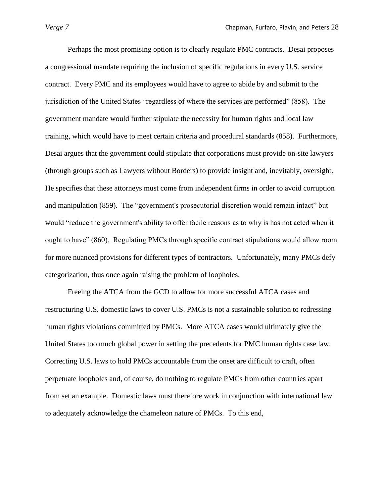Perhaps the most promising option is to clearly regulate PMC contracts. Desai proposes a congressional mandate requiring the inclusion of specific regulations in every U.S. service contract. Every PMC and its employees would have to agree to abide by and submit to the jurisdiction of the United States "regardless of where the services are performed" (858). The government mandate would further stipulate the necessity for human rights and local law training, which would have to meet certain criteria and procedural standards (858). Furthermore, Desai argues that the government could stipulate that corporations must provide on-site lawyers (through groups such as Lawyers without Borders) to provide insight and, inevitably, oversight. He specifies that these attorneys must come from independent firms in order to avoid corruption and manipulation (859). The "government's prosecutorial discretion would remain intact" but would "reduce the government's ability to offer facile reasons as to why is has not acted when it ought to have" (860). Regulating PMCs through specific contract stipulations would allow room for more nuanced provisions for different types of contractors. Unfortunately, many PMCs defy categorization, thus once again raising the problem of loopholes.

Freeing the ATCA from the GCD to allow for more successful ATCA cases and restructuring U.S. domestic laws to cover U.S. PMCs is not a sustainable solution to redressing human rights violations committed by PMCs. More ATCA cases would ultimately give the United States too much global power in setting the precedents for PMC human rights case law. Correcting U.S. laws to hold PMCs accountable from the onset are difficult to craft, often perpetuate loopholes and, of course, do nothing to regulate PMCs from other countries apart from set an example. Domestic laws must therefore work in conjunction with international law to adequately acknowledge the chameleon nature of PMCs. To this end,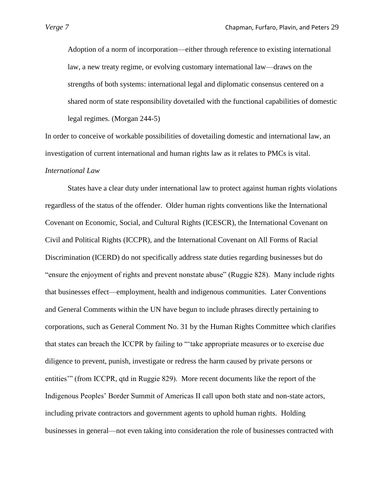Adoption of a norm of incorporation—either through reference to existing international law, a new treaty regime, or evolving customary international law—draws on the strengths of both systems: international legal and diplomatic consensus centered on a shared norm of state responsibility dovetailed with the functional capabilities of domestic legal regimes. (Morgan 244-5)

In order to conceive of workable possibilities of dovetailing domestic and international law, an investigation of current international and human rights law as it relates to PMCs is vital. *International Law* 

States have a clear duty under international law to protect against human rights violations regardless of the status of the offender. Older human rights conventions like the International Covenant on Economic, Social, and Cultural Rights (ICESCR), the International Covenant on Civil and Political Rights (ICCPR), and the International Covenant on All Forms of Racial Discrimination (ICERD) do not specifically address state duties regarding businesses but do "ensure the enjoyment of rights and prevent nonstate abuse" (Ruggie 828). Many include rights that businesses effect—employment, health and indigenous communities. Later Conventions and General Comments within the UN have begun to include phrases directly pertaining to corporations, such as General Comment No. 31 by the Human Rights Committee which clarifies that states can breach the ICCPR by failing to ""take appropriate measures or to exercise due diligence to prevent, punish, investigate or redress the harm caused by private persons or entities"" (from ICCPR, qtd in Ruggie 829). More recent documents like the report of the Indigenous Peoples" Border Summit of Americas II call upon both state and non-state actors, including private contractors and government agents to uphold human rights. Holding businesses in general—not even taking into consideration the role of businesses contracted with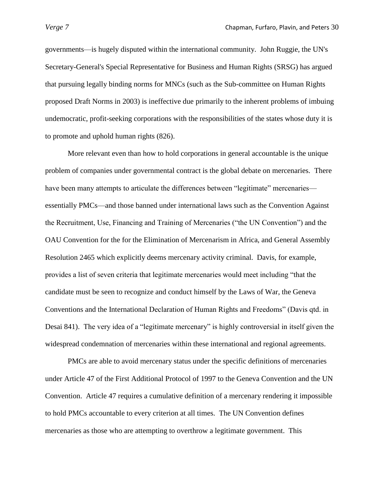governments—is hugely disputed within the international community. John Ruggie, the UN's Secretary-General's Special Representative for Business and Human Rights (SRSG) has argued that pursuing legally binding norms for MNCs (such as the Sub-committee on Human Rights proposed Draft Norms in 2003) is ineffective due primarily to the inherent problems of imbuing undemocratic, profit-seeking corporations with the responsibilities of the states whose duty it is to promote and uphold human rights (826).

More relevant even than how to hold corporations in general accountable is the unique problem of companies under governmental contract is the global debate on mercenaries. There have been many attempts to articulate the differences between "legitimate" mercenaries essentially PMCs—and those banned under international laws such as the Convention Against the Recruitment, Use, Financing and Training of Mercenaries ("the UN Convention") and the OAU Convention for the for the Elimination of Mercenarism in Africa, and General Assembly Resolution 2465 which explicitly deems mercenary activity criminal. Davis, for example, provides a list of seven criteria that legitimate mercenaries would meet including "that the candidate must be seen to recognize and conduct himself by the Laws of War, the Geneva Conventions and the International Declaration of Human Rights and Freedoms" (Davis qtd. in Desai 841). The very idea of a "legitimate mercenary" is highly controversial in itself given the widespread condemnation of mercenaries within these international and regional agreements.

PMCs are able to avoid mercenary status under the specific definitions of mercenaries under Article 47 of the First Additional Protocol of 1997 to the Geneva Convention and the UN Convention. Article 47 requires a cumulative definition of a mercenary rendering it impossible to hold PMCs accountable to every criterion at all times. The UN Convention defines mercenaries as those who are attempting to overthrow a legitimate government. This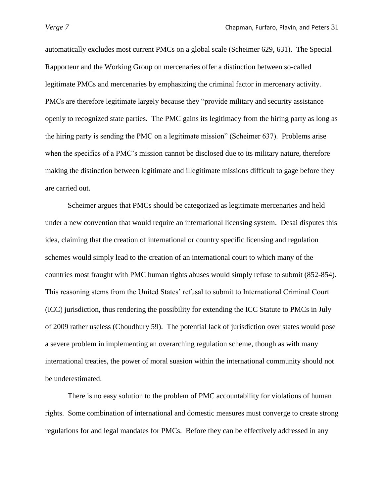automatically excludes most current PMCs on a global scale (Scheimer 629, 631). The Special Rapporteur and the Working Group on mercenaries offer a distinction between so-called legitimate PMCs and mercenaries by emphasizing the criminal factor in mercenary activity. PMCs are therefore legitimate largely because they "provide military and security assistance openly to recognized state parties. The PMC gains its legitimacy from the hiring party as long as the hiring party is sending the PMC on a legitimate mission" (Scheimer 637). Problems arise when the specifics of a PMC's mission cannot be disclosed due to its military nature, therefore making the distinction between legitimate and illegitimate missions difficult to gage before they are carried out.

Scheimer argues that PMCs should be categorized as legitimate mercenaries and held under a new convention that would require an international licensing system. Desai disputes this idea, claiming that the creation of international or country specific licensing and regulation schemes would simply lead to the creation of an international court to which many of the countries most fraught with PMC human rights abuses would simply refuse to submit (852-854). This reasoning stems from the United States' refusal to submit to International Criminal Court (ICC) jurisdiction, thus rendering the possibility for extending the ICC Statute to PMCs in July of 2009 rather useless (Choudhury 59). The potential lack of jurisdiction over states would pose a severe problem in implementing an overarching regulation scheme, though as with many international treaties, the power of moral suasion within the international community should not be underestimated.

There is no easy solution to the problem of PMC accountability for violations of human rights. Some combination of international and domestic measures must converge to create strong regulations for and legal mandates for PMCs. Before they can be effectively addressed in any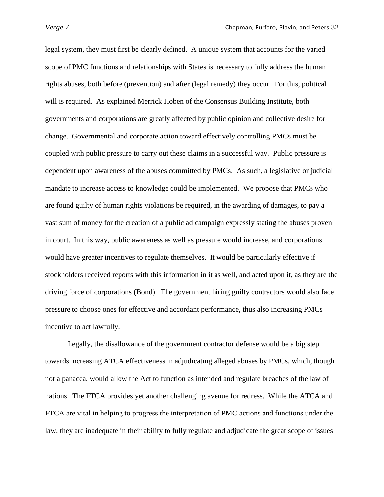legal system, they must first be clearly defined. A unique system that accounts for the varied scope of PMC functions and relationships with States is necessary to fully address the human rights abuses, both before (prevention) and after (legal remedy) they occur. For this, political will is required. As explained Merrick Hoben of the Consensus Building Institute, both governments and corporations are greatly affected by public opinion and collective desire for change. Governmental and corporate action toward effectively controlling PMCs must be coupled with public pressure to carry out these claims in a successful way. Public pressure is dependent upon awareness of the abuses committed by PMCs. As such, a legislative or judicial mandate to increase access to knowledge could be implemented. We propose that PMCs who are found guilty of human rights violations be required, in the awarding of damages, to pay a vast sum of money for the creation of a public ad campaign expressly stating the abuses proven in court. In this way, public awareness as well as pressure would increase, and corporations would have greater incentives to regulate themselves. It would be particularly effective if stockholders received reports with this information in it as well, and acted upon it, as they are the driving force of corporations (Bond). The government hiring guilty contractors would also face pressure to choose ones for effective and accordant performance, thus also increasing PMCs incentive to act lawfully.

Legally, the disallowance of the government contractor defense would be a big step towards increasing ATCA effectiveness in adjudicating alleged abuses by PMCs, which, though not a panacea, would allow the Act to function as intended and regulate breaches of the law of nations. The FTCA provides yet another challenging avenue for redress. While the ATCA and FTCA are vital in helping to progress the interpretation of PMC actions and functions under the law, they are inadequate in their ability to fully regulate and adjudicate the great scope of issues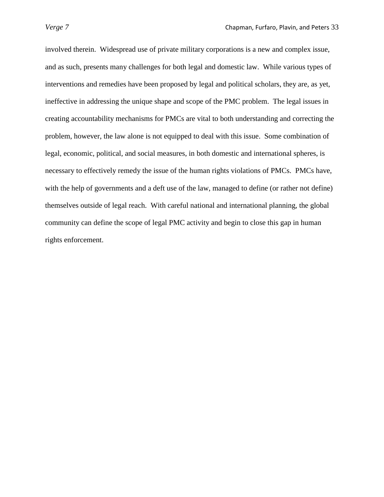involved therein. Widespread use of private military corporations is a new and complex issue, and as such, presents many challenges for both legal and domestic law. While various types of interventions and remedies have been proposed by legal and political scholars, they are, as yet, ineffective in addressing the unique shape and scope of the PMC problem. The legal issues in creating accountability mechanisms for PMCs are vital to both understanding and correcting the problem, however, the law alone is not equipped to deal with this issue. Some combination of legal, economic, political, and social measures, in both domestic and international spheres, is necessary to effectively remedy the issue of the human rights violations of PMCs. PMCs have, with the help of governments and a deft use of the law, managed to define (or rather not define) themselves outside of legal reach. With careful national and international planning, the global community can define the scope of legal PMC activity and begin to close this gap in human rights enforcement.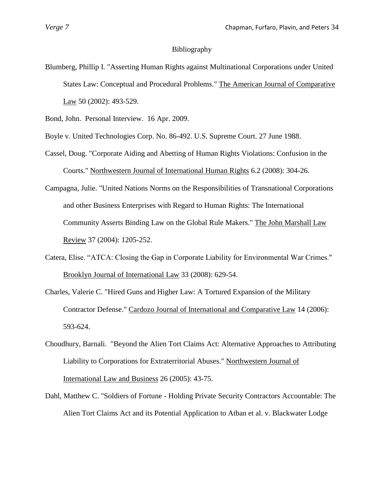# Bibliography

Blumberg, Phillip I. "Asserting Human Rights against Multinational Corporations under United States Law: Conceptual and Procedural Problems." The American Journal of Comparative Law 50 (2002): 493-529.

Bond, John. Personal Interview. 16 Apr. 2009.

- Boyle v. United Technologies Corp. No. 86-492. U.S. Supreme Court. 27 June 1988.
- Cassel, Doug. "Corporate Aiding and Abetting of Human Rights Violations: Confusion in the Courts." Northwestern Journal of International Human Rights 6.2 (2008): 304-26.
- Campagna, Julie. "United Nations Norms on the Responsibilities of Transnational Corporations and other Business Enterprises with Regard to Human Rights: The International Community Asserts Binding Law on the Global Rule Makers." The John Marshall Law Review 37 (2004): 1205-252.
- Catera, Elise. "ATCA: Closing the Gap in Corporate Liability for Environmental War Crimes." Brooklyn Journal of International Law 33 (2008): 629-54.
- Charles, Valerie C. "Hired Guns and Higher Law: A Tortured Expansion of the Military Contractor Defense." Cardozo Journal of International and Comparative Law 14 (2006): 593-624.
- Choudhury, Barnali. "Beyond the Alien Tort Claims Act: Alternative Approaches to Attributing Liability to Corporations for Extraterritorial Abuses." Northwestern Journal of International Law and Business 26 (2005): 43-75.
- Dahl, Matthew C. "Soldiers of Fortune Holding Private Security Contractors Accountable: The Alien Tort Claims Act and its Potential Application to Atban et al. v. Blackwater Lodge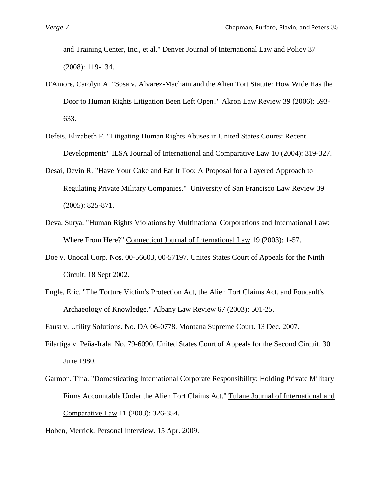and Training Center, Inc., et al." Denver Journal of International Law and Policy 37 (2008): 119-134.

- D'Amore, Carolyn A. "Sosa v. Alvarez-Machain and the Alien Tort Statute: How Wide Has the Door to Human Rights Litigation Been Left Open?" Akron Law Review 39 (2006): 593- 633.
- Defeis, Elizabeth F. "Litigating Human Rights Abuses in United States Courts: Recent Developments" ILSA Journal of International and Comparative Law 10 (2004): 319-327.
- Desai, Devin R. "Have Your Cake and Eat It Too: A Proposal for a Layered Approach to Regulating Private Military Companies." University of San Francisco Law Review 39 (2005): 825-871.
- Deva, Surya. "Human Rights Violations by Multinational Corporations and International Law: Where From Here?" Connecticut Journal of International Law 19 (2003): 1-57.
- Doe v. Unocal Corp. Nos. 00-56603, 00-57197. Unites States Court of Appeals for the Ninth Circuit. 18 Sept 2002.
- Engle, Eric. "The Torture Victim's Protection Act, the Alien Tort Claims Act, and Foucault's Archaeology of Knowledge." Albany Law Review 67 (2003): 501-25.
- Faust v. Utility Solutions. No. DA 06-0778. Montana Supreme Court. 13 Dec. 2007.
- Filartiga v. Peña-Irala. No. 79-6090. United States Court of Appeals for the Second Circuit. 30 June 1980.
- Garmon, Tina. "Domesticating International Corporate Responsibility: Holding Private Military Firms Accountable Under the Alien Tort Claims Act." Tulane Journal of International and Comparative Law 11 (2003): 326-354.
- Hoben, Merrick. Personal Interview. 15 Apr. 2009.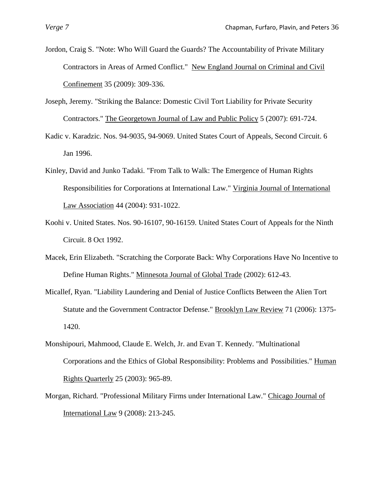Jordon, Craig S. "Note: Who Will Guard the Guards? The Accountability of Private Military Contractors in Areas of Armed Conflict." New England Journal on Criminal and Civil Confinement 35 (2009): 309-336.

- Joseph, Jeremy. "Striking the Balance: Domestic Civil Tort Liability for Private Security Contractors." The Georgetown Journal of Law and Public Policy 5 (2007): 691-724.
- Kadic v. Karadzic. Nos. 94-9035, 94-9069. United States Court of Appeals, Second Circuit. 6 Jan 1996.
- Kinley, David and Junko Tadaki. "From Talk to Walk: The Emergence of Human Rights Responsibilities for Corporations at International Law." Virginia Journal of International Law Association 44 (2004): 931-1022.
- Koohi v. United States. Nos. 90-16107, 90-16159. United States Court of Appeals for the Ninth Circuit. 8 Oct 1992.
- Macek, Erin Elizabeth. "Scratching the Corporate Back: Why Corporations Have No Incentive to Define Human Rights." Minnesota Journal of Global Trade (2002): 612-43.
- Micallef, Ryan. "Liability Laundering and Denial of Justice Conflicts Between the Alien Tort Statute and the Government Contractor Defense." Brooklyn Law Review 71 (2006): 1375- 1420.
- Monshipouri, Mahmood, Claude E. Welch, Jr. and Evan T. Kennedy. "Multinational Corporations and the Ethics of Global Responsibility: Problems and Possibilities." Human Rights Quarterly 25 (2003): 965-89.
- Morgan, Richard. "Professional Military Firms under International Law." Chicago Journal of International Law 9 (2008): 213-245.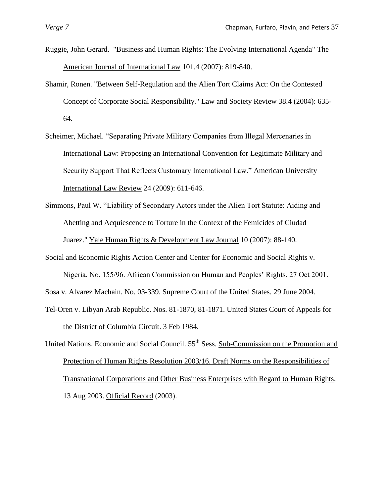- Ruggie, John Gerard. "Business and Human Rights: The Evolving International Agenda" The American Journal of International Law 101.4 (2007): 819-840.
- Shamir, Ronen. "Between Self-Regulation and the Alien Tort Claims Act: On the Contested Concept of Corporate Social Responsibility." Law and Society Review 38.4 (2004): 635- 64.
- Scheimer, Michael. "Separating Private Military Companies from Illegal Mercenaries in International Law: Proposing an International Convention for Legitimate Military and Security Support That Reflects Customary International Law." American University International Law Review 24 (2009): 611-646.
- Simmons, Paul W. "Liability of Secondary Actors under the Alien Tort Statute: Aiding and Abetting and Acquiescence to Torture in the Context of the Femicides of Ciudad Juarez." Yale Human Rights & Development Law Journal 10 (2007): 88-140.
- Social and Economic Rights Action Center and Center for Economic and Social Rights v. Nigeria. No. 155/96. African Commission on Human and Peoples" Rights. 27 Oct 2001.

Sosa v. Alvarez Machain. No. 03-339. Supreme Court of the United States. 29 June 2004.

- Tel-Oren v. Libyan Arab Republic. Nos. 81-1870, 81-1871. United States Court of Appeals for the District of Columbia Circuit. 3 Feb 1984.
- United Nations. Economic and Social Council. 55<sup>th</sup> Sess. Sub-Commission on the Promotion and Protection of Human Rights Resolution 2003/16. Draft Norms on the Responsibilities of Transnational Corporations and Other Business Enterprises with Regard to Human Rights, 13 Aug 2003. Official Record (2003).